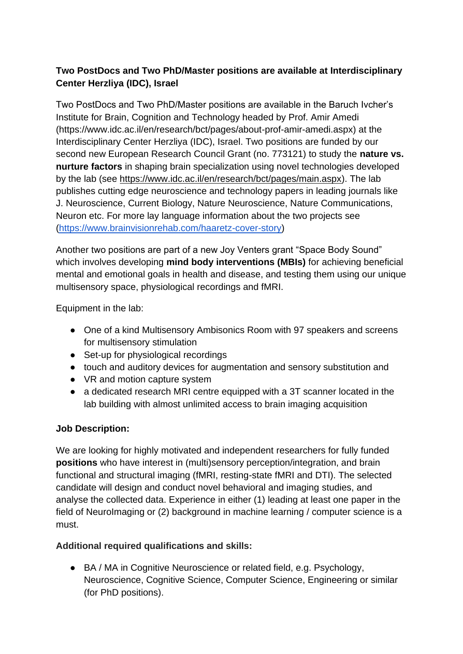## **Two PostDocs and Two PhD/Master positions are available at Interdisciplinary Center Herzliya (IDC), Israel**

Two PostDocs and Two PhD/Master positions are available in the Baruch Ivcher's Institute for Brain, Cognition and Technology headed by Prof. Amir Amedi (https://www.idc.ac.il/en/research/bct/pages/about-prof-amir-amedi.aspx) at the Interdisciplinary Center Herzliya (IDC), Israel. Two positions are funded by our second new European Research Council Grant (no. 773121) to study the **nature vs. nurture factors** in shaping brain specialization using novel technologies developed by the lab (see [https://www.idc.ac.il/en/research/bct/pages/main.aspx\)](https://www.idc.ac.il/en/research/bct/pages/main.aspx). The lab publishes cutting edge neuroscience and technology papers in leading journals like J. Neuroscience, Current Biology, Nature Neuroscience, Nature Communications, Neuron etc. For more lay language information about the two projects see [\(https://www.brainvisionrehab.com/haaretz-cover-story\)](https://www.brainvisionrehab.com/haaretz-cover-story)

Another two positions are part of a new Joy Venters grant "Space Body Sound" which involves developing **mind body interventions (MBIs)** for achieving beneficial mental and emotional goals in health and disease, and testing them using our unique multisensory space, physiological recordings and fMRI.

Equipment in the lab:

- One of a kind Multisensory Ambisonics Room with 97 speakers and screens for multisensory stimulation
- Set-up for physiological recordings
- touch and auditory devices for augmentation and sensory substitution and
- VR and motion capture system
- a dedicated research MRI centre equipped with a 3T scanner located in the lab building with almost unlimited access to brain imaging acquisition

## **Job Description:**

We are looking for highly motivated and independent researchers for fully funded **positions** who have interest in (multi)sensory perception/integration, and brain functional and structural imaging (fMRI, resting-state fMRI and DTI). The selected candidate will design and conduct novel behavioral and imaging studies, and analyse the collected data. Experience in either (1) leading at least one paper in the field of NeuroImaging or (2) background in machine learning / computer science is a must.

## **Additional required qualifications and skills:**

● BA / MA in Cognitive Neuroscience or related field, e.g. Psychology, Neuroscience, Cognitive Science, Computer Science, Engineering or similar (for PhD positions).